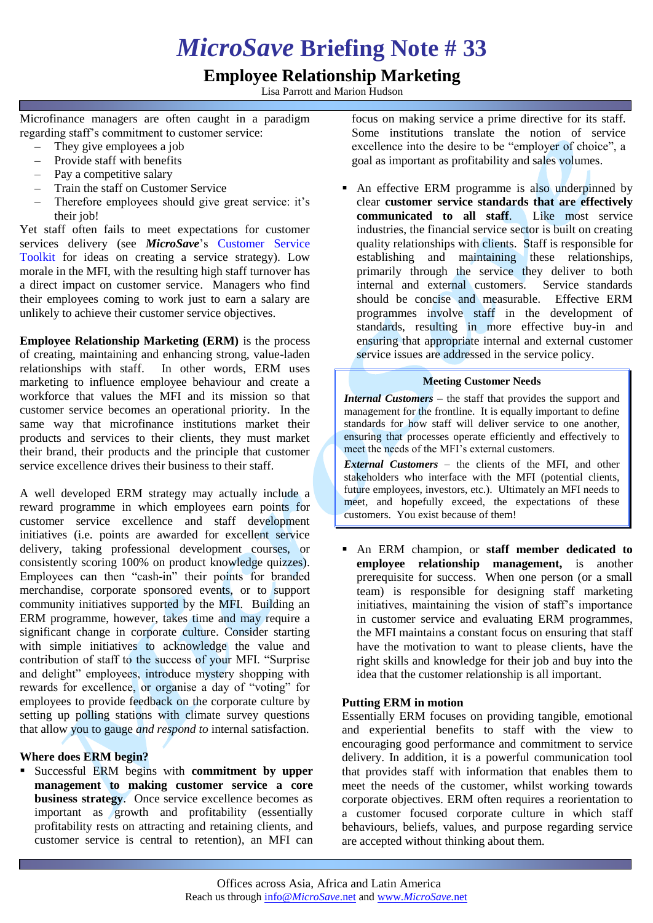# *MicroSave* **Briefing Note # 33**

# **Employee Relationship Marketing**

Lisa Parrott and Marion Hudson

Microfinance managers are often caught in a paradigm regarding staff's commitment to customer service:

- They give employees a job
- Provide staff with benefits
- Pay a competitive salary
- Train the staff on Customer Service
- Therefore employees should give great service: it's their *job!*

Yet staff often fails to meet expectations for customer services delivery (see *MicroSave*'s [Customer Service](http://www.microsave.org/toolkit/customer-service-toolkit)  [Toolkit](http://www.microsave.org/toolkit/customer-service-toolkit) for ideas on creating a service strategy). Low morale in the MFI, with the resulting high staff turnover has a direct impact on customer service. Managers who find their employees coming to work just to earn a salary are unlikely to achieve their customer service objectives.

**Employee Relationship Marketing (ERM)** is the process of creating, maintaining and enhancing strong, value-laden relationships with staff. In other words, ERM uses marketing to influence employee behaviour and create a workforce that values the MFI and its mission so that customer service becomes an operational priority. In the same way that microfinance institutions market their products and services to their clients, they must market their brand, their products and the principle that customer service excellence drives their business to their staff.

A well developed ERM strategy may actually include a reward programme in which employees earn points for customer service excellence and staff development initiatives (i.e. points are awarded for excellent service delivery, taking professional development courses, or consistently scoring 100% on product knowledge quizzes). Employees can then "cash-in" their points for branded merchandise, corporate sponsored events, or to support community initiatives supported by the MFI. Building an ERM programme, however, takes time and may require a significant change in corporate culture. Consider starting with simple initiatives to acknowledge the value and contribution of staff to the success of your MFI. "Surprise and delight" employees, introduce mystery shopping with rewards for excellence, or organise a day of "voting" for employees to provide feedback on the corporate culture by setting up polling stations with climate survey questions that allow you to gauge *and respond to* internal satisfaction.

# **Where does ERM begin?**

 Successful ERM begins with **commitment by upper management to making customer service a core business strategy**. Once service excellence becomes as important as growth and profitability (essentially profitability rests on attracting and retaining clients, and customer service is central to retention), an MFI can

focus on making service a prime directive for its staff. Some institutions translate the notion of service excellence into the desire to be "employer of choice", a goal as important as profitability and sales volumes.

 An effective ERM programme is also underpinned by clear **customer service standards that are effectively communicated to all staff**. Like most service industries, the financial service sector is built on creating quality relationships with clients. Staff is responsible for establishing and maintaining these relationships, primarily through the service they deliver to both internal and external customers. Service standards should be concise and measurable. Effective ERM programmes involve staff in the development of standards, resulting in more effective buy-in and ensuring that appropriate internal and external customer service issues are addressed in the service policy.

#### **Meeting Customer Needs**

*Internal Customers –* the staff that provides the support and management for the frontline. It is equally important to define standards for how staff will deliver service to one another, ensuring that processes operate efficiently and effectively to meet the needs of the MFI's external customers.

*External Customers* – the clients of the MFI, and other stakeholders who interface with the MFI (potential clients, future employees, investors, etc.). Ultimately an MFI needs to meet, and hopefully exceed, the expectations of these customers. You exist because of them!

 An ERM champion, or **staff member dedicated to employee relationship management,** is another prerequisite for success. When one person (or a small team) is responsible for designing staff marketing initiatives, maintaining the vision of staff's importance in customer service and evaluating ERM programmes, the MFI maintains a constant focus on ensuring that staff have the motivation to want to please clients, have the right skills and knowledge for their job and buy into the idea that the customer relationship is all important.

# **Putting ERM in motion**

Essentially ERM focuses on providing tangible, emotional and experiential benefits to staff with the view to encouraging good performance and commitment to service delivery. In addition, it is a powerful communication tool that provides staff with information that enables them to meet the needs of the customer, whilst working towards corporate objectives. ERM often requires a reorientation to a customer focused corporate culture in which staff behaviours, beliefs, values, and purpose regarding service are accepted without thinking about them.